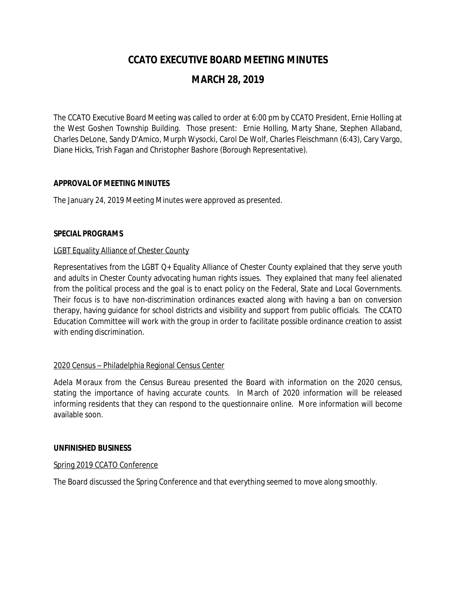# **CCATO EXECUTIVE BOARD MEETING MINUTES**

## **MARCH 28, 2019**

The CCATO Executive Board Meeting was called to order at 6:00 pm by CCATO President, Ernie Holling at the West Goshen Township Building. Those present: Ernie Holling, Marty Shane, Stephen Allaband, Charles DeLone, Sandy D'Amico, Murph Wysocki, Carol De Wolf, Charles Fleischmann (6:43), Cary Vargo, Diane Hicks, Trish Fagan and Christopher Bashore (Borough Representative).

## **APPROVAL OF MEETING MINUTES**

The January 24, 2019 Meeting Minutes were approved as presented.

## **SPECIAL PROGRAMS**

## LGBT Equality Alliance of Chester County

Representatives from the LGBT Q+ Equality Alliance of Chester County explained that they serve youth and adults in Chester County advocating human rights issues. They explained that many feel alienated from the political process and the goal is to enact policy on the Federal, State and Local Governments. Their focus is to have non-discrimination ordinances exacted along with having a ban on conversion therapy, having guidance for school districts and visibility and support from public officials. The CCATO Education Committee will work with the group in order to facilitate possible ordinance creation to assist with ending discrimination.

## 2020 Census – Philadelphia Regional Census Center

Adela Moraux from the Census Bureau presented the Board with information on the 2020 census, stating the importance of having accurate counts. In March of 2020 information will be released informing residents that they can respond to the questionnaire online. More information will become available soon.

#### **UNFINISHED BUSINESS**

#### Spring 2019 CCATO Conference

The Board discussed the Spring Conference and that everything seemed to move along smoothly.